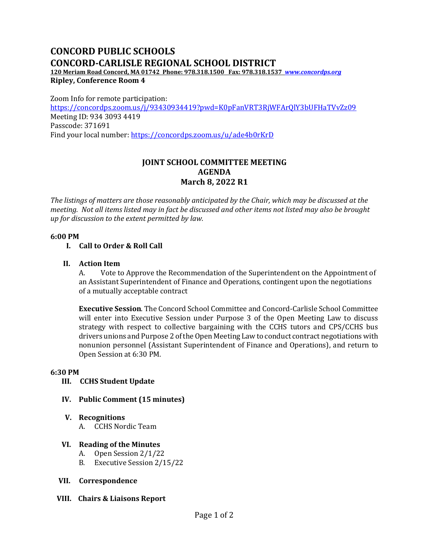# **CONCORD PUBLIC SCHOOLS CONCORD-CARLISLE REGIONAL SCHOOL DISTRICT**

**120 Meriam Road Concord, MA 01742 Phone: 978.318.1500 Fax: 978.318.1537** *[www.concordps.org](http://www.concordps.org/)* **Ripley, Conference Room 4**

Zoom Info for remote participation: <https://concordps.zoom.us/j/93430934419?pwd=K0pFanVRT3RjWFArQlY3bUFHaTVvZz09> Meeting ID: 934 3093 4419 Passcode: 371691 Find your local number:<https://concordps.zoom.us/u/ade4b0rKrD>

## **JOINT SCHOOL COMMITTEE MEETING AGENDA March 8, 2022 R1**

*The listings of matters are those reasonably anticipated by the Chair, which may be discussed at the meeting. Not all items listed may in fact be discussed and other items not listed may also be brought up for discussion to the extent permitted by law.*

#### **6:00 PM**

#### **I. Call to Order & Roll Call**

#### **II. Action Item**

A. Vote to Approve the Recommendation of the Superintendent on the Appointment of an Assistant Superintendent of Finance and Operations, contingent upon the negotiations of a mutually acceptable contract

**Executive Session**. The Concord School Committee and Concord-Carlisle School Committee will enter into Executive Session under Purpose 3 of the Open Meeting Law to discuss strategy with respect to collective bargaining with the CCHS tutors and CPS/CCHS bus drivers unions and Purpose 2 of the Open Meeting Law to conduct contract negotiations with nonunion personnel (Assistant Superintendent of Finance and Operations), and return to Open Session at 6:30 PM.

#### **6:30 PM**

#### **III. CCHS Student Update**

#### **IV. Public Comment (15 minutes)**

- **V. Recognitions**
	- A. CCHS Nordic Team

#### **VI. Reading of the Minutes**

- A. Open Session 2/1/22
- B. Executive Session 2/15/22
- **VII. Correspondence**
- **VIII. Chairs & Liaisons Report**